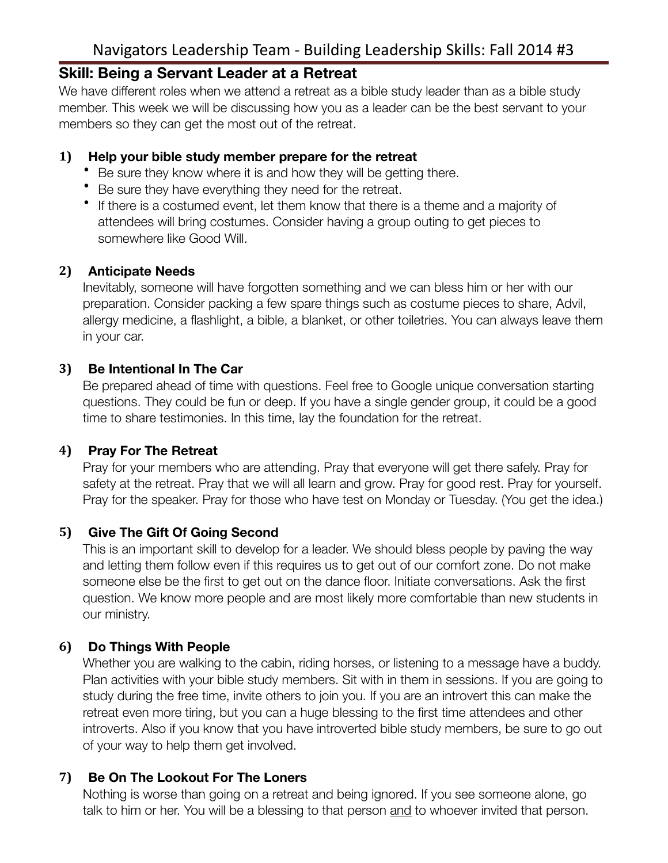# Navigators Leadership Team - Building Leadership Skills: Fall 2014 #3

# **Skill: Being a Servant Leader at a Retreat**

We have different roles when we attend a retreat as a bible study leader than as a bible study member. This week we will be discussing how you as a leader can be the best servant to your members so they can get the most out of the retreat.

#### **1) Help your bible study member prepare for the retreat**

- Be sure they know where it is and how they will be getting there.
- Be sure they have everything they need for the retreat.
- If there is a costumed event, let them know that there is a theme and a majority of attendees will bring costumes. Consider having a group outing to get pieces to somewhere like Good Will.

#### **2) Anticipate Needs**

Inevitably, someone will have forgotten something and we can bless him or her with our preparation. Consider packing a few spare things such as costume pieces to share, Advil, allergy medicine, a flashlight, a bible, a blanket, or other toiletries. You can always leave them in your car.

#### **3) Be Intentional In The Car**

Be prepared ahead of time with questions. Feel free to Google unique conversation starting questions. They could be fun or deep. If you have a single gender group, it could be a good time to share testimonies. In this time, lay the foundation for the retreat.

#### **4) Pray For The Retreat**

Pray for your members who are attending. Pray that everyone will get there safely. Pray for safety at the retreat. Pray that we will all learn and grow. Pray for good rest. Pray for yourself. Pray for the speaker. Pray for those who have test on Monday or Tuesday. (You get the idea.)

#### **5) Give The Gift Of Going Second**

This is an important skill to develop for a leader. We should bless people by paving the way and letting them follow even if this requires us to get out of our comfort zone. Do not make someone else be the first to get out on the dance floor. Initiate conversations. Ask the first question. We know more people and are most likely more comfortable than new students in our ministry.

#### **6) Do Things With People**

Whether you are walking to the cabin, riding horses, or listening to a message have a buddy. Plan activities with your bible study members. Sit with in them in sessions. If you are going to study during the free time, invite others to join you. If you are an introvert this can make the retreat even more tiring, but you can a huge blessing to the first time attendees and other introverts. Also if you know that you have introverted bible study members, be sure to go out of your way to help them get involved.

#### **7) Be On The Lookout For The Loners**

Nothing is worse than going on a retreat and being ignored. If you see someone alone, go talk to him or her. You will be a blessing to that person and to whoever invited that person.